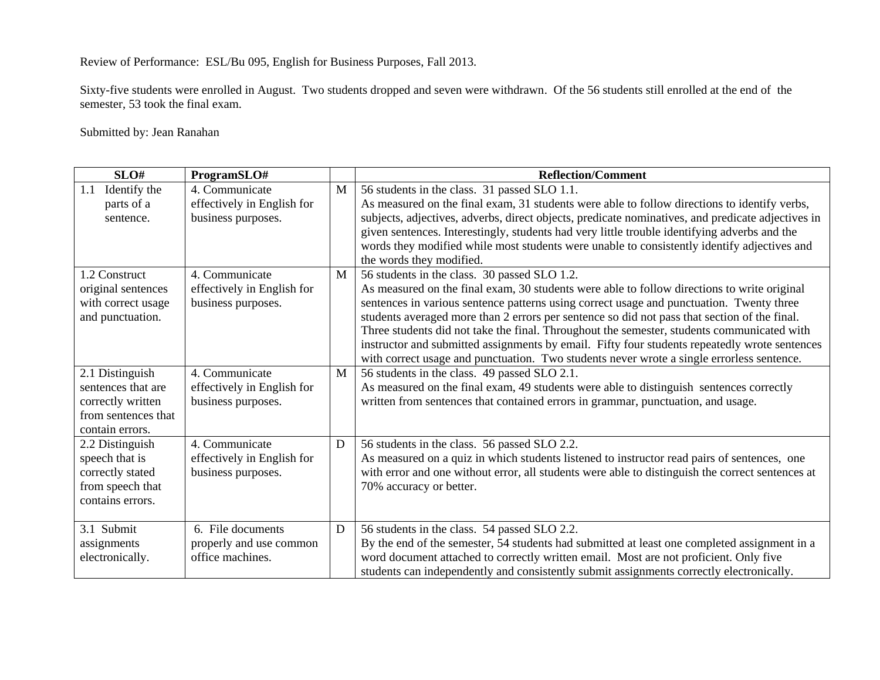Review of Performance: ESL/Bu 095, English for Business Purposes, Fall 2013.

Sixty-five students were enrolled in August. Two students dropped and seven were withdrawn. Of the 56 students still enrolled at the end of the semester, 53 took the final exam.

Submitted by: Jean Ranahan

| SLO#                                                                                          | ProgramSLO#                                                        |   | <b>Reflection/Comment</b>                                                                                                                                                                                                                                                                                                                                                                                                                                                                                                                                                           |
|-----------------------------------------------------------------------------------------------|--------------------------------------------------------------------|---|-------------------------------------------------------------------------------------------------------------------------------------------------------------------------------------------------------------------------------------------------------------------------------------------------------------------------------------------------------------------------------------------------------------------------------------------------------------------------------------------------------------------------------------------------------------------------------------|
| Identify the<br>1.1                                                                           | 4. Communicate                                                     | M | 56 students in the class. 31 passed SLO 1.1.                                                                                                                                                                                                                                                                                                                                                                                                                                                                                                                                        |
| parts of a                                                                                    | effectively in English for                                         |   | As measured on the final exam, 31 students were able to follow directions to identify verbs,                                                                                                                                                                                                                                                                                                                                                                                                                                                                                        |
| sentence.                                                                                     | business purposes.                                                 |   | subjects, adjectives, adverbs, direct objects, predicate nominatives, and predicate adjectives in<br>given sentences. Interestingly, students had very little trouble identifying adverbs and the<br>words they modified while most students were unable to consistently identify adjectives and<br>the words they modified.                                                                                                                                                                                                                                                        |
| 1.2 Construct                                                                                 | 4. Communicate                                                     | M | 56 students in the class. 30 passed SLO 1.2.                                                                                                                                                                                                                                                                                                                                                                                                                                                                                                                                        |
| original sentences<br>with correct usage<br>and punctuation.                                  | effectively in English for<br>business purposes.                   |   | As measured on the final exam, 30 students were able to follow directions to write original<br>sentences in various sentence patterns using correct usage and punctuation. Twenty three<br>students averaged more than 2 errors per sentence so did not pass that section of the final.<br>Three students did not take the final. Throughout the semester, students communicated with<br>instructor and submitted assignments by email. Fifty four students repeatedly wrote sentences<br>with correct usage and punctuation. Two students never wrote a single errorless sentence. |
| 2.1 Distinguish                                                                               | 4. Communicate                                                     | M | 56 students in the class. 49 passed SLO 2.1.                                                                                                                                                                                                                                                                                                                                                                                                                                                                                                                                        |
| sentences that are<br>correctly written<br>from sentences that<br>contain errors.             | effectively in English for<br>business purposes.                   |   | As measured on the final exam, 49 students were able to distinguish sentences correctly<br>written from sentences that contained errors in grammar, punctuation, and usage.                                                                                                                                                                                                                                                                                                                                                                                                         |
| 2.2 Distinguish<br>speech that is<br>correctly stated<br>from speech that<br>contains errors. | 4. Communicate<br>effectively in English for<br>business purposes. | D | 56 students in the class. 56 passed SLO 2.2.<br>As measured on a quiz in which students listened to instructor read pairs of sentences, one<br>with error and one without error, all students were able to distinguish the correct sentences at<br>70% accuracy or better.                                                                                                                                                                                                                                                                                                          |
| 3.1 Submit                                                                                    | 6. File documents                                                  | D | 56 students in the class. 54 passed SLO 2.2.                                                                                                                                                                                                                                                                                                                                                                                                                                                                                                                                        |
| assignments<br>electronically.                                                                | properly and use common<br>office machines.                        |   | By the end of the semester, 54 students had submitted at least one completed assignment in a<br>word document attached to correctly written email. Most are not proficient. Only five<br>students can independently and consistently submit assignments correctly electronically.                                                                                                                                                                                                                                                                                                   |